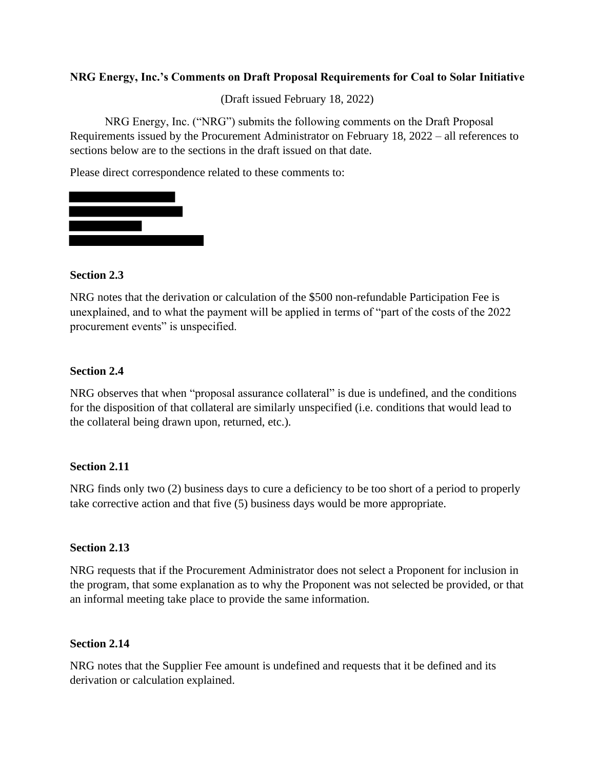### **NRG Energy, Inc.'s Comments on Draft Proposal Requirements for Coal to Solar Initiative**

(Draft issued February 18, 2022)

NRG Energy, Inc. ("NRG") submits the following comments on the Draft Proposal Requirements issued by the Procurement Administrator on February 18, 2022 – all references to sections below are to the sections in the draft issued on that date.

Please direct correspondence related to these comments to:



#### **Section 2.3**

NRG notes that the derivation or calculation of the \$500 non-refundable Participation Fee is unexplained, and to what the payment will be applied in terms of "part of the costs of the 2022 procurement events" is unspecified.

#### **Section 2.4**

NRG observes that when "proposal assurance collateral" is due is undefined, and the conditions for the disposition of that collateral are similarly unspecified (i.e. conditions that would lead to the collateral being drawn upon, returned, etc.).

#### **Section 2.11**

NRG finds only two (2) business days to cure a deficiency to be too short of a period to properly take corrective action and that five (5) business days would be more appropriate.

## **Section 2.13**

NRG requests that if the Procurement Administrator does not select a Proponent for inclusion in the program, that some explanation as to why the Proponent was not selected be provided, or that an informal meeting take place to provide the same information.

#### **Section 2.14**

NRG notes that the Supplier Fee amount is undefined and requests that it be defined and its derivation or calculation explained.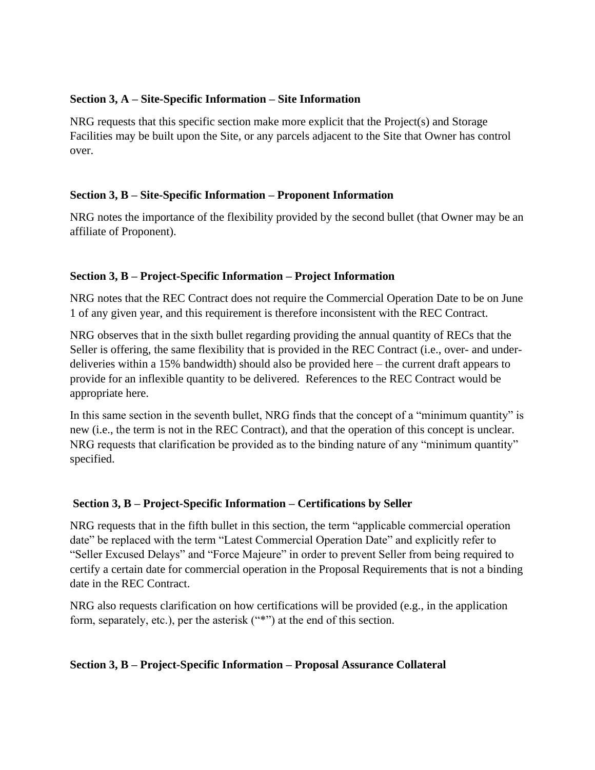## **Section 3, A – Site-Specific Information – Site Information**

NRG requests that this specific section make more explicit that the Project(s) and Storage Facilities may be built upon the Site, or any parcels adjacent to the Site that Owner has control over.

## **Section 3, B – Site-Specific Information – Proponent Information**

NRG notes the importance of the flexibility provided by the second bullet (that Owner may be an affiliate of Proponent).

# **Section 3, B – Project-Specific Information – Project Information**

NRG notes that the REC Contract does not require the Commercial Operation Date to be on June 1 of any given year, and this requirement is therefore inconsistent with the REC Contract.

NRG observes that in the sixth bullet regarding providing the annual quantity of RECs that the Seller is offering, the same flexibility that is provided in the REC Contract (i.e., over- and underdeliveries within a 15% bandwidth) should also be provided here – the current draft appears to provide for an inflexible quantity to be delivered. References to the REC Contract would be appropriate here.

In this same section in the seventh bullet, NRG finds that the concept of a "minimum quantity" is new (i.e., the term is not in the REC Contract), and that the operation of this concept is unclear. NRG requests that clarification be provided as to the binding nature of any "minimum quantity" specified.

# **Section 3, B – Project-Specific Information – Certifications by Seller**

NRG requests that in the fifth bullet in this section, the term "applicable commercial operation date" be replaced with the term "Latest Commercial Operation Date" and explicitly refer to "Seller Excused Delays" and "Force Majeure" in order to prevent Seller from being required to certify a certain date for commercial operation in the Proposal Requirements that is not a binding date in the REC Contract.

NRG also requests clarification on how certifications will be provided (e.g., in the application form, separately, etc.), per the asterisk ("\*") at the end of this section.

## **Section 3, B – Project-Specific Information – Proposal Assurance Collateral**